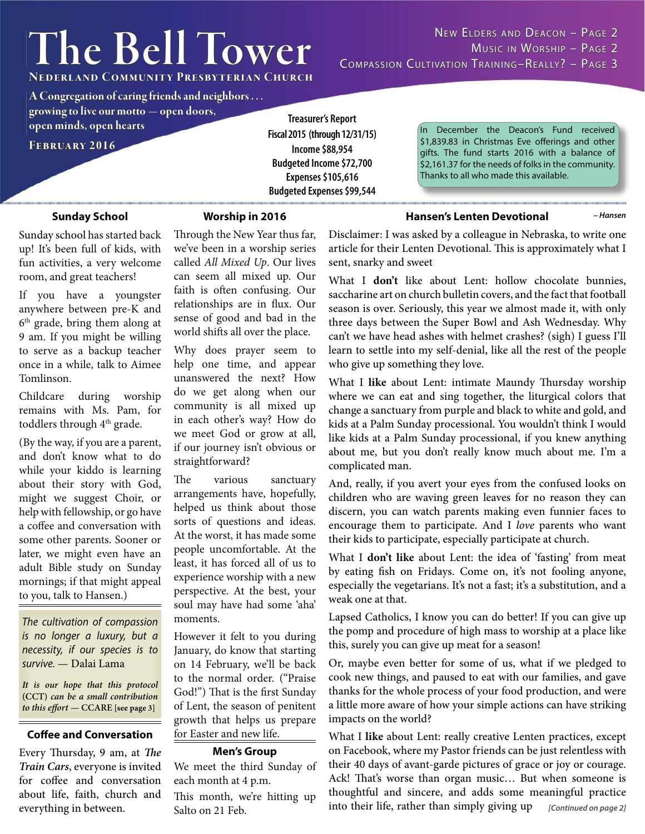# **The Bell Tower**

**Nederland Community Presbyterian Church ederland** 

**A Congregation of caring friends and neighbors . . .** 

**growing to live our motto — open doors, rowing live open minds, open hearts pen** 

**February 2016 ebruary** 

**Treasurer's Report Fiscal 2015 (through 12/31/15) Income \$88,954 Budgeted Income \$72,700 Expenses \$105,616 Budgeted Expenses \$99,544**

In December the Deacon's Fund received \$1,839.83 in Christmas Eve offerings and other gifts. The fund starts 2016 with a balance of \$2,161.37 for the needs of folks in the community. Thanks to all who made this available.

*– Hansen*

#### **Sunday School**

#### **Worship in 2016**

Sunday school has started back up! It's been full of kids, with fun activities, a very welcome room, and great teachers!

If you have a youngster anywhere between pre-K and 6<sup>th</sup> grade, bring them along at 9 am. If you might be willing to serve as a backup teacher once in a while, talk to Aimee Tomlinson.

Childcare during worship remains with Ms. Pam, for toddlers through 4<sup>th</sup> grade.

(By the way, if you are a parent, and don't know what to do while your kiddo is learning about their story with God, might we suggest Choir, or help with fellowship, or go have a coffee and conversation with some other parents. Sooner or later, we might even have an adult Bible study on Sunday mornings; if that might appeal to you, talk to Hansen.)

*The cultivation of compassion necessity, if our species is to necessity, if our species is to survive.* — Dalai Lama

**It is our hope that this protocol (CCT) can be a small contribution to this effort — CCARE** [see page 3]

#### **Coffee and Conversation** for Easter and new life.

Every Thursday, 9 am, at The **Train Cars**, everyone is invited for coffee and conversation about life, faith, church and everything in between.

Through the New Year thus far, we've been in a worship series called *All Mixed Up*. Our lives can seem all mixed up. Our faith is often confusing. Our relationships are in flux. Our sense of good and bad in the world shifts all over the place.

Why does prayer seem to help one time, and appear unanswered the next? How do we get along when our community is all mixed up in each other's way? How do we meet God or grow at all, if our journey isn't obvious or straightforward?

The various sanctuary arrangements have, hopefully, helped us think about those sorts of questions and ideas. At the worst, it has made some people uncomfortable. At the least, it has forced all of us to experience worship with a new perspective. At the best, your soul may have had some 'aha' moments.

However it felt to you during January, do know that starting on 14 February, we'll be back to the normal order. ("Praise God!") That is the first Sunday of Lent, the season of penitent growth that helps us prepare

#### **Men's Group**

We meet the third Sunday of each month at 4 p.m.

This month, we're hitting up Salto on 21 Feb.

Disclaimer: I was asked by a colleague in Nebraska, to write one article for their Lenten Devotional. This is approximately what I sent, snarky and sweet

**Hansen's Lenten Devotional**

What I **don't** like about Lent: hollow chocolate bunnies, saccharine art on church bulletin covers, and the fact that football season is over. Seriously, this year we almost made it, with only three days between the Super Bowl and Ash Wednesday. Why can't we have head ashes with helmet crashes? (sigh) I guess I'll learn to settle into my self-denial, like all the rest of the people who give up something they love.

What I like about Lent: intimate Maundy Thursday worship where we can eat and sing together, the liturgical colors that change a sanctuary from purple and black to white and gold, and kids at a Palm Sunday processional. You wouldn't think I would like kids at a Palm Sunday processional, if you knew anything about me, but you don't really know much about me. I'm a complicated man.

And, really, if you avert your eyes from the confused looks on children who are waving green leaves for no reason they can discern, you can watch parents making even funnier faces to encourage them to participate. And I *love* parents who want their kids to participate, especially participate at church.

What I **don't like** about Lent: the idea of 'fasting' from meat by eating fish on Fridays. Come on, it's not fooling anyone, especially the vegetarians. It's not a fast; it's a substitution, and a weak one at that.

Lapsed Catholics, I know you can do better! If you can give up the pomp and procedure of high mass to worship at a place like this, surely you can give up meat for a season!

Or, maybe even better for some of us, what if we pledged to cook new things, and paused to eat with our families, and gave thanks for the whole process of your food production, and were a little more aware of how your simple actions can have striking impacts on the world?

What I **like** about Lent: really creative Lenten practices, except on Facebook, where my Pastor friends can be just relentless with their 40 days of avant-garde pictures of grace or joy or courage. Ack! That's worse than organ music... But when someone is thoughtful and sincere, and adds some meaningful practice into their life, rather than simply giving up *[Continued on page 2]*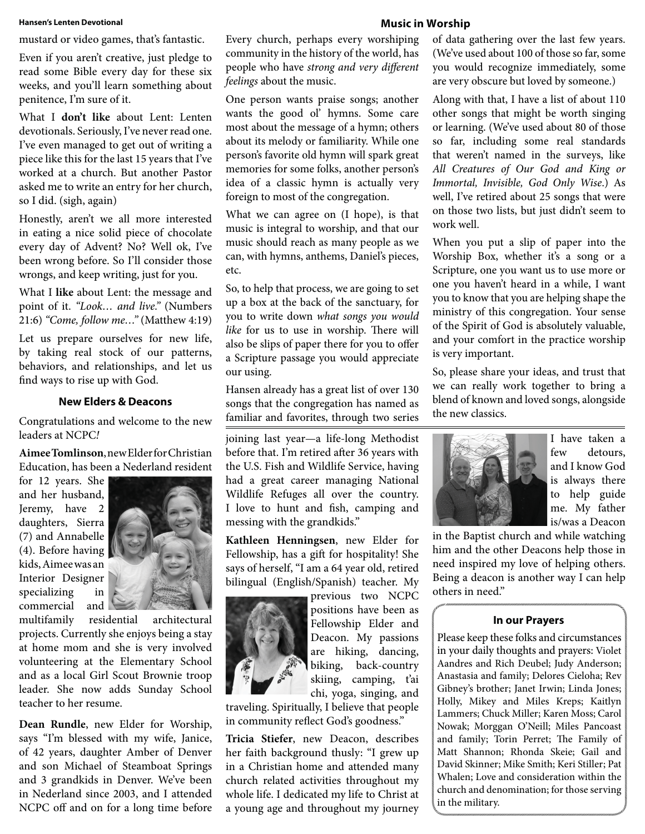#### **Hansen's Lenten Devotional**

mustard or video games, that's fantastic.

Even if you aren't creative, just pledge to read some Bible every day for these six weeks, and you'll learn something about penitence, I'm sure of it.

What I **don't like** about Lent: Lenten devotionals. Seriously, I've never read one. I've even managed to get out of writing a piece like this for the last 15 years that I've worked at a church. But another Pastor asked me to write an entry for her church, so I did. (sigh, again)

Honestly, aren't we all more interested in eating a nice solid piece of chocolate every day of Advent? No? Well ok, I've been wrong before. So I'll consider those wrongs, and keep writing, just for you.

What I **like** about Lent: the message and point of it. *"Look… and live."* (Numbers 21:6) *"Come, follow me…"* (Matthew 4:19)

Let us prepare ourselves for new life, by taking real stock of our patterns, behaviors, and relationships, and let us find ways to rise up with God.

#### **New Elders & Deacons**

Congratulations and welcome to the new leaders at NCPC*!*

**Aimee Tomlinson**, new Elder for Christian Education, has been a Nederland resident

for 12 years. She and her husband, Jeremy, have 2 daughters, Sierra (7) and Annabelle (4). Before having kids, Aimee was an Interior Designer specializing in commercial and



multifamily residential architectural projects. Currently she enjoys being a stay at home mom and she is very involved volunteering at the Elementary School and as a local Girl Scout Brownie troop leader. She now adds Sunday School teacher to her resume.

**Dean Rundle**, new Elder for Worship, says "I'm blessed with my wife, Janice, of 42 years, daughter Amber of Denver and son Michael of Steamboat Springs and 3 grandkids in Denver. We've been in Nederland since 2003, and I attended NCPC off and on for a long time before

Every church, perhaps every worshiping community in the history of the world, has people who have *strong and very different feelings* about the music.

One person wants praise songs; another wants the good ol' hymns. Some care most about the message of a hymn; others about its melody or familiarity. While one person's favorite old hymn will spark great memories for some folks, another person's idea of a classic hymn is actually very foreign to most of the congregation.

What we can agree on (I hope), is that music is integral to worship, and that our music should reach as many people as we can, with hymns, anthems, Daniel's pieces, etc.

So, to help that process, we are going to set up a box at the back of the sanctuary, for you to write down *what songs you would like* for us to use in worship. There will also be slips of paper there for you to offer a Scripture passage you would appreciate our using.

Hansen already has a great list of over 130 songs that the congregation has named as familiar and favorites, through two series

joining last year—a life-long Methodist before that. I'm retired after 36 years with the U.S. Fish and Wildlife Service, having had a great career managing National Wildlife Refuges all over the country. I love to hunt and fish, camping and messing with the grandkids."

**Kathleen Henningsen**, new Elder for Fellowship, has a gift for hospitality! She says of herself, "I am a 64 year old, retired bilingual (English/Spanish) teacher. My

> previous two NCPC positions have been as Fellowship Elder and Deacon. My passions are hiking, dancing, biking, back-country skiing, camping, t'ai chi, yoga, singing, and

traveling. Spiritually, I believe that people in community reflect God's goodness."

**Tricia Stiefer**, new Deacon, describes her faith background thusly: "I grew up in a Christian home and attended many church related activities throughout my whole life. I dedicated my life to Christ at a young age and throughout my journey

#### **Music in Worship**

of data gathering over the last few years. (We've used about 100 of those so far, some you would recognize immediately, some are very obscure but loved by someone.)

Along with that, I have a list of about 110 other songs that might be worth singing or learning. (We've used about 80 of those so far, including some real standards that weren't named in the surveys, like *All Creatures of Our God and King or Immortal, Invisible, God Only Wise*.) As well, I've retired about 25 songs that were on those two lists, but just didn't seem to work well.

When you put a slip of paper into the Worship Box, whether it's a song or a Scripture, one you want us to use more or one you haven't heard in a while, I want you to know that you are helping shape the ministry of this congregation. Your sense of the Spirit of God is absolutely valuable, and your comfort in the practice worship is very important.

So, please share your ideas, and trust that we can really work together to bring a blend of known and loved songs, alongside the new classics.



I have taken a few detours, and I know God is always there to help guide me. My father is/was a Deacon

in the Baptist church and while watching him and the other Deacons help those in need inspired my love of helping others. Being a deacon is another way I can help others in need."

#### **In our Prayers**

Please keep these folks and circumstances in your daily thoughts and prayers: Violet Aandres and Rich Deubel; Judy Anderson; Anastasia and family; Delores Cieloha; Rev Gibney's brother; Janet Irwin; Linda Jones; Holly, Mikey and Miles Kreps; Kaitlyn Lammers; Chuck Miller; Karen Moss; Carol Nowak; Morggan O'Neill; Miles Pancoast and family; Torin Perret; The Family of Matt Shannon; Rhonda Skeie; Gail and David Skinner; Mike Smith; Keri Stiller; Pat Whalen; Love and consideration within the church and denomination; for those serving in the military.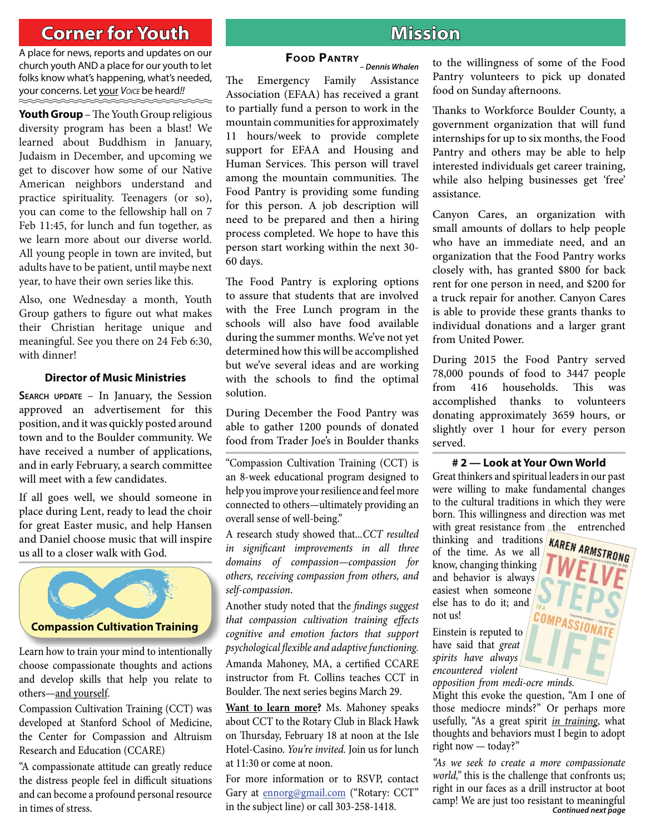## **Corner for Youth original contract of the Mission**

A place for news, reports and updates on our church youth AND a place for our youth to let folks know what's happening, what's needed, your concerns. Let your *VOICE* be heard*!!*

**Youth Group** – The Youth Group religious diversity program has been a blast! We learned about Buddhism in January, Judaism in December, and upcoming we get to discover how some of our Native American neighbors understand and practice spirituality. Teenagers (or so), you can come to the fellowship hall on 7 Feb 11:45, for lunch and fun together, as we learn more about our diverse world. All young people in town are invited, but adults have to be patient, until maybe next year, to have their own series like this.

Also, one Wednesday a month, Youth Group gathers to figure out what makes their Christian heritage unique and meaningful. See you there on 24 Feb 6:30, with dinner!

#### **Director of Music Ministries**

**SEARCH UPDATE** – In January, the Session approved an advertisement for this position, and it was quickly posted around town and to the Boulder community. We have received a number of applications, and in early February, a search committee will meet with a few candidates.

If all goes well, we should someone in place during Lent, ready to lead the choir for great Easter music, and help Hansen and Daniel choose music that will inspire us all to a closer walk with God.



Learn how to train your mind to intentionally choose compassionate thoughts and actions and develop skills that help you relate to others-and yourself.

Compassion Cultivation Training (CCT) was developed at Stanford School of Medicine, the Center for Compassion and Altruism Research and Education (CCARE)

"A compassionate attitude can greatly reduce the distress people feel in difficult situations and can become a profound personal resource in times of stress.

*– Dennis Whalen*

### **FOOD PANTRY**

The Emergency Family Assistance Association (EFAA) has received a grant to partially fund a person to work in the mountain communities for approximately 11 hours/week to provide complete support for EFAA and Housing and Human Services. This person will travel among the mountain communities. The Food Pantry is providing some funding for this person. A job description will need to be prepared and then a hiring process completed. We hope to have this person start working within the next 30- 60 days.

The Food Pantry is exploring options to assure that students that are involved with the Free Lunch program in the schools will also have food available during the summer months. We've not yet determined how this will be accomplished but we've several ideas and are working with the schools to find the optimal solution.

During December the Food Pantry was able to gather 1200 pounds of donated food from Trader Joe's in Boulder thanks

"Compassion Cultivation Training (CCT) is an 8-week educational program designed to help you improve your resilience and feel more connected to others—ultimately providing an overall sense of well-being."

A research study showed that*...CCT resulted in significant improvements in all three domains of compassion—compassion for others, receiving compassion from others, and self-compassion*.

Another study noted that the *findings suggest that compassion cultivation training effects cognitive and emotion factors that support psychological fl exible and adaptive functioning.* Amanda Mahoney, MA, a certified CCARE instructor from Ft. Collins teaches CCT in Boulder. The next series begins March 29.

**Want to learn more?** Ms. Mahoney speaks about CCT to the Rotary Club in Black Hawk on Thursday, February 18 at noon at the Isle Hotel-Casino. *You're invited.* Join us for lunch at 11:30 or come at noon.

For more information or to RSVP, contact Gary at ennorg@gmail.com ("Rotary: CCT" in the subject line) or call 303-258-1418.

to the willingness of some of the Food Pantry volunteers to pick up donated food on Sunday afternoons.

Thanks to Workforce Boulder County, a government organization that will fund internships for up to six months, the Food Pantry and others may be able to help interested individuals get career training, while also helping businesses get 'free' assistance.

Canyon Cares, an organization with small amounts of dollars to help people who have an immediate need, and an organization that the Food Pantry works closely with, has granted \$800 for back rent for one person in need, and \$200 for a truck repair for another. Canyon Cares is able to provide these grants thanks to individual donations and a larger grant from United Power.

During 2015 the Food Pantry served 78,000 pounds of food to 3447 people from 416 households. This was accomplished thanks to volunteers donating approximately 3659 hours, or slightly over 1 hour for every person served.

#### **# 2 — Look at Your Own World**

Great thinkers and spiritual leaders in our past were willing to make fundamental changes to the cultural traditions in which they were born. This willingness and direction was met with great resistance from the entrenched

thinking and traditions of the time. As we all know, changing thinking and behavior is always easiest when someone else has to do it; and not us!

Einstein is reputed to have said that *great spirits have always encountered violent opposition from medi-ocre minds.* 

Might this evoke the question, "Am I one of those mediocre minds?" Or perhaps more usefully, "As a great spirit *in training*, what thoughts and behaviors must I begin to adopt right now — today?"

*"As we seek to create a more compassionate world,"* this is the challenge that confronts us; right in our faces as a drill instructor at boot camp! We are just too resistant to meaningful *Continued next page*